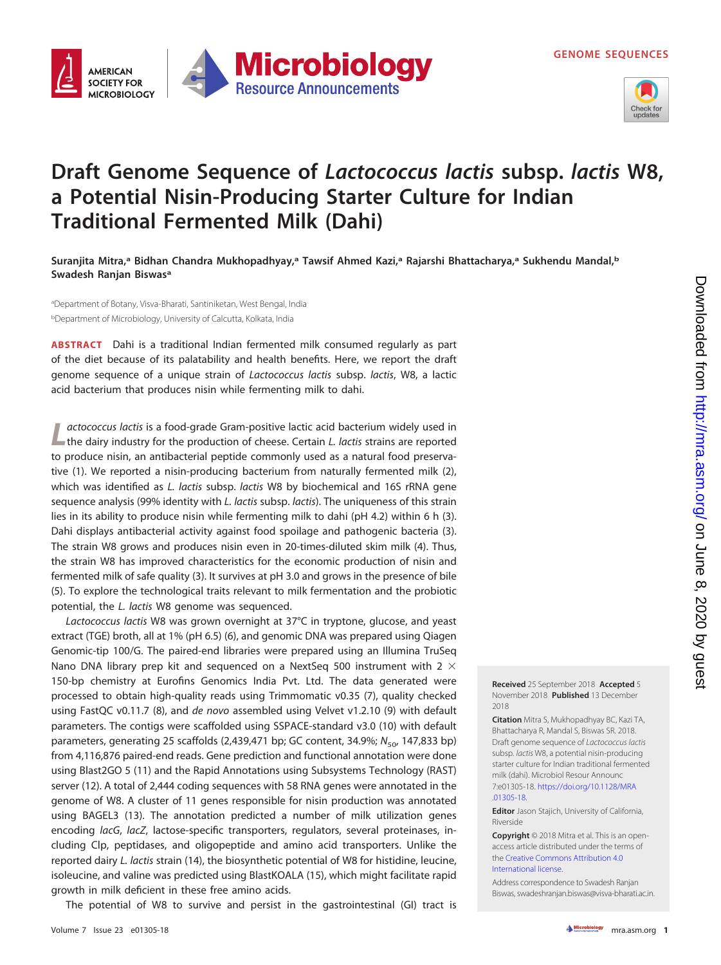**GENOME SEQUENCES**



## **Draft Genome Sequence of Lactococcus lactis subsp. lactis W8, a Potential Nisin-Producing Starter Culture for Indian Traditional Fermented Milk (Dahi)**

**Suranjita Mitra,a Bidhan Chandra Mukhopadhyay,a Tawsif Ahmed Kazi,a Rajarshi Bhattacharya,a Sukhendu Mandal,b Swadesh Ranjan Biswasa**

**Microbiology** 

**Resource Announcements** 

aDepartment of Botany, Visva-Bharati, Santiniketan, West Bengal, India <sup>b</sup>Department of Microbiology, University of Calcutta, Kolkata, India

**AMERICAN SOCIETY FOR** 

**MICROBIOLOGY** 

**ABSTRACT** Dahi is a traditional Indian fermented milk consumed regularly as part of the diet because of its palatability and health benefits. Here, we report the draft genome sequence of a unique strain of Lactococcus lactis subsp. lactis, W8, a lactic acid bacterium that produces nisin while fermenting milk to dahi.

Lactococcus lactis is a food-grade Gram-positive lactic acid bacterium widely used in the dairy industry for the production of cheese. Certain L. lactis strains are reported to produce nisin, an antibacterial peptide commonly used as a natural food preservative [\(1\)](#page-1-0). We reported a nisin-producing bacterium from naturally fermented milk [\(2\)](#page-1-1), which was identified as L. lactis subsp. lactis W8 by biochemical and 16S rRNA gene sequence analysis (99% identity with L. lactis subsp. lactis). The uniqueness of this strain lies in its ability to produce nisin while fermenting milk to dahi ( $pH$  4.2) within 6 h [\(3\)](#page-1-2). Dahi displays antibacterial activity against food spoilage and pathogenic bacteria [\(3\)](#page-1-2). The strain W8 grows and produces nisin even in 20-times-diluted skim milk [\(4\)](#page-1-3). Thus, the strain W8 has improved characteristics for the economic production of nisin and fermented milk of safe quality [\(3\)](#page-1-2). It survives at pH 3.0 and grows in the presence of bile [\(5\)](#page-1-4). To explore the technological traits relevant to milk fermentation and the probiotic potential, the L. lactis W8 genome was sequenced.

Lactococcus lactis W8 was grown overnight at 37°C in tryptone, glucose, and yeast extract (TGE) broth, all at 1% (pH 6.5) [\(6\)](#page-1-5), and genomic DNA was prepared using Qiagen Genomic-tip 100/G. The paired-end libraries were prepared using an Illumina TruSeq Nano DNA library prep kit and sequenced on a NextSeq 500 instrument with 2  $\times$ 150-bp chemistry at Eurofins Genomics India Pvt. Ltd. The data generated were processed to obtain high-quality reads using Trimmomatic v0.35 [\(7\)](#page-1-6), quality checked using FastQC v0.11.7 [\(8\)](#page-1-7), and de novo assembled using Velvet v1.2.10 [\(9\)](#page-1-8) with default parameters. The contigs were scaffolded using SSPACE-standard v3.0 [\(10\)](#page-1-9) with default parameters, generating 25 scaffolds (2,439,471 bp; GC content, 34.9%;  $N_{50}$ , 147,833 bp) from 4,116,876 paired-end reads. Gene prediction and functional annotation were done using Blast2GO 5 [\(11\)](#page-1-10) and the Rapid Annotations using Subsystems Technology (RAST) server [\(12\)](#page-1-11). A total of 2,444 coding sequences with 58 RNA genes were annotated in the genome of W8. A cluster of 11 genes responsible for nisin production was annotated using BAGEL3 [\(13\)](#page-1-12). The annotation predicted a number of milk utilization genes encoding lacG, lacZ, lactose-specific transporters, regulators, several proteinases, including Clp, peptidases, and oligopeptide and amino acid transporters. Unlike the reported dairy L. lactis strain [\(14\)](#page-1-13), the biosynthetic potential of W8 for histidine, leucine, isoleucine, and valine was predicted using BlastKOALA [\(15\)](#page-1-14), which might facilitate rapid growth in milk deficient in these free amino acids.

The potential of W8 to survive and persist in the gastrointestinal (GI) tract is

**Received** 25 September 2018 **Accepted** 5 November 2018 **Published** 13 December 2018

**Citation** Mitra S, Mukhopadhyay BC, Kazi TA, Bhattacharya R, Mandal S, Biswas SR. 2018. Draft genome sequence of Lactococcus lactis subsp. lactis W8, a potential nisin-producing starter culture for Indian traditional fermented milk (dahi). Microbiol Resour Announc 7:e01305-18. [https://doi.org/10.1128/MRA](https://doi.org/10.1128/MRA.01305-18) [.01305-18.](https://doi.org/10.1128/MRA.01305-18)

**Editor** Jason Stajich, University of California, Riverside

**Copyright** © 2018 Mitra et al. This is an openaccess article distributed under the terms of the [Creative Commons Attribution 4.0](https://creativecommons.org/licenses/by/4.0/) [International](https://creativecommons.org/licenses/by/4.0/) license.

Address correspondence to Swadesh Ranjan Biswas, [swadeshranjan.biswas@visva-bharati.ac.in.](mailto:swadeshranjan.biswas@visva-bharati.ac.in)